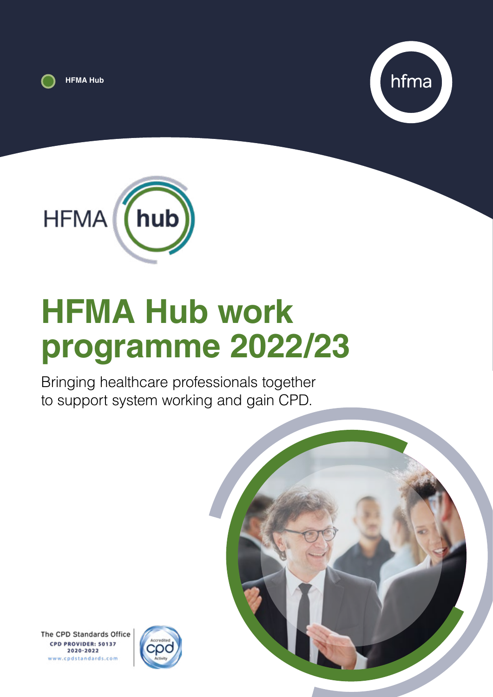





# **HFMA Hub work programme 2022/23**

Bringing healthcare professionals together to support system working and gain CPD.



The CPD Standards Office CPD PROVIDER: 50137 2020-2022 www.cpdstandards.com

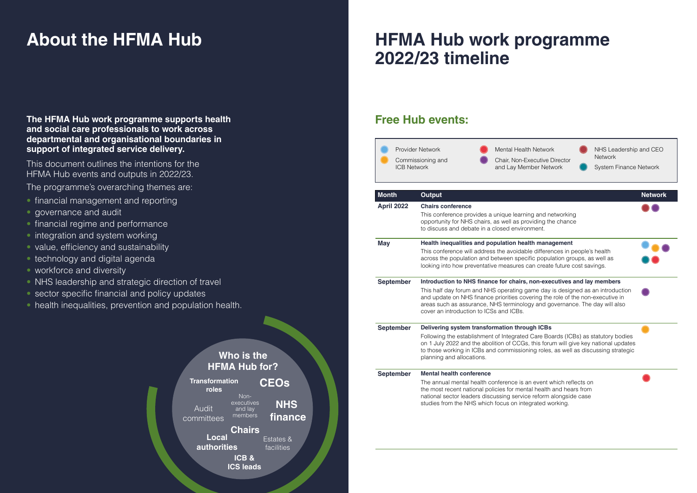## **HFMA Hub work programme 2022/23 timeline**

# **About the HFMA Hub**

## **Free Hub events:**

| <b>ICB Network</b> | <b>Provider Network</b><br>Commissioning and                                                                                                                                                                                                                                                                                               | <b>Mental Health Network</b><br>Chair, Non-Executive Director<br>and Lay Member Network                                                                                                                                                                                                                                                                            | NHS Leadership and CEO<br><b>Network</b><br><b>System Finance Network</b> |
|--------------------|--------------------------------------------------------------------------------------------------------------------------------------------------------------------------------------------------------------------------------------------------------------------------------------------------------------------------------------------|--------------------------------------------------------------------------------------------------------------------------------------------------------------------------------------------------------------------------------------------------------------------------------------------------------------------------------------------------------------------|---------------------------------------------------------------------------|
| <b>Month</b>       | <b>Output</b>                                                                                                                                                                                                                                                                                                                              |                                                                                                                                                                                                                                                                                                                                                                    | <b>Network</b>                                                            |
| April 2022         | <b>Chairs conference</b>                                                                                                                                                                                                                                                                                                                   | This conference provides a unique learning and networking<br>opportunity for NHS chairs, as well as providing the chance<br>to discuss and debate in a closed environment.                                                                                                                                                                                         |                                                                           |
| <b>May</b>         |                                                                                                                                                                                                                                                                                                                                            | Health inequalities and population health management<br>This conference will address the avoidable differences in people's health<br>across the population and between specific population groups, as well as<br>looking into how preventative measures can create future cost savings.                                                                            |                                                                           |
| <b>September</b>   |                                                                                                                                                                                                                                                                                                                                            | Introduction to NHS finance for chairs, non-executives and lay members<br>This half day forum and NHS operating game day is designed as an introduction<br>and update on NHS finance priorities covering the role of the non-executive in<br>areas such as assurance, NHS terminology and governance. The day will also<br>cover an introduction to ICSs and ICBs. |                                                                           |
| <b>September</b>   | Delivering system transformation through ICBs<br>Following the establishment of Integrated Care Boards (ICBs) as statutory bodies<br>on 1 July 2022 and the abolition of CCGs, this forum will give key national updates<br>to those working in ICBs and commissioning roles, as well as discussing strategic<br>planning and allocations. |                                                                                                                                                                                                                                                                                                                                                                    |                                                                           |
| <b>September</b>   | <b>Mental health conference</b>                                                                                                                                                                                                                                                                                                            | The annual mental health conference is an event which reflects on<br>the most recent national policies for mental health and hears from<br>national sector leaders discussing service reform alongside case<br>studies from the NHS which focus on integrated working.                                                                                             |                                                                           |





- financial management and reporting
- governance and audit
- financial regime and performance
- integration and system working
- value, efficiency and sustainability
- technology and digital agenda
- workforce and diversity
- NHS leadership and strategic direction of travel
- sector specific financial and policy updates
- health inequalities, prevention and population health.

### **Who is the HFMA Hub for?**

**The HFMA Hub work programme supports health and social care professionals to work across departmental and organisational boundaries in support of integrated service delivery.** 

This document outlines the intentions for the HFMA Hub events and outputs in 2022/23.

The programme's overarching themes are:

| <b>Transformation</b><br>roles |                                          | <b>CEOs</b>           |  |
|--------------------------------|------------------------------------------|-----------------------|--|
| Audit<br>committees            | Non-<br>executives<br>and lay<br>members | <b>NHS</b><br>finance |  |
| Local                          | <b>Chairs</b>                            | <b>Estates &amp;</b>  |  |
| authorities                    |                                          | facilities            |  |
|                                | ICB&                                     |                       |  |
|                                | <b>ICS leads</b>                         |                       |  |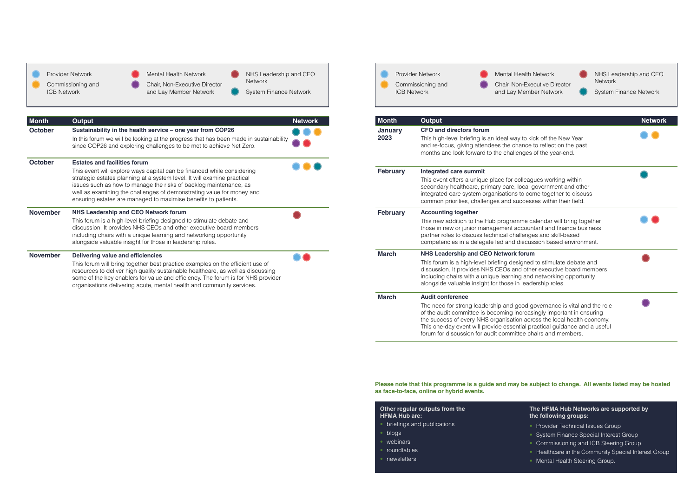| Month           | <b>Output</b>                                                                                                                                                                                                                                                                                                                                                                                            | <b>Network</b> |
|-----------------|----------------------------------------------------------------------------------------------------------------------------------------------------------------------------------------------------------------------------------------------------------------------------------------------------------------------------------------------------------------------------------------------------------|----------------|
| <b>October</b>  | Sustainability in the health service - one year from COP26<br>In this forum we will be looking at the progress that has been made in sustainability<br>since COP26 and exploring challenges to be met to achieve Net Zero.                                                                                                                                                                               |                |
| <b>October</b>  | <b>Estates and facilities forum</b><br>This event will explore ways capital can be financed while considering<br>strategic estates planning at a system level. It will examine practical<br>issues such as how to manage the risks of backlog maintenance, as<br>well as examining the challenges of demonstrating value for money and<br>ensuring estates are managed to maximise benefits to patients. |                |
| <b>November</b> | <b>NHS Leadership and CEO Network forum</b><br>This forum is a high-level briefing designed to stimulate debate and<br>discussion. It provides NHS CEOs and other executive board members<br>including chairs with a unique learning and networking opportunity<br>alongside valuable insight for those in leadership roles.                                                                             |                |
| <b>November</b> | <b>Delivering value and efficiencies</b><br>This forum will bring together best practice examples on the efficient use of<br>resources to deliver high quality sustainable healthcare, as well as discussing                                                                                                                                                                                             |                |

some of the key enablers for value and efficiency. The forum is for NHS provider

organisations delivering acute, mental health and community services.

- briefings and publications
- blogs
- webinars
- roundtables
- newsletters.





| <b>ICB Network</b> | Provider Network<br>Commissioning and                                                                                                                                                                                                                                                                                        | <b>Mental Health Network</b><br>Chair, Non-Executive Director<br>and Lay Member Network                                                                                                                                                                                                                                                                                  | NHS Leadership and CEO<br><b>Network</b><br><b>System Finance Network</b> |
|--------------------|------------------------------------------------------------------------------------------------------------------------------------------------------------------------------------------------------------------------------------------------------------------------------------------------------------------------------|--------------------------------------------------------------------------------------------------------------------------------------------------------------------------------------------------------------------------------------------------------------------------------------------------------------------------------------------------------------------------|---------------------------------------------------------------------------|
| <b>Month</b>       | <b>Output</b>                                                                                                                                                                                                                                                                                                                |                                                                                                                                                                                                                                                                                                                                                                          | <b>Network</b>                                                            |
| January<br>2023    | <b>CFO and directors forum</b>                                                                                                                                                                                                                                                                                               | This high-level briefing is an ideal way to kick off the New Year<br>and re-focus, giving attendees the chance to reflect on the past<br>months and look forward to the challenges of the year-end.                                                                                                                                                                      |                                                                           |
| <b>February</b>    | <b>Integrated care summit</b>                                                                                                                                                                                                                                                                                                | This event offers a unique place for colleagues working within<br>secondary healthcare, primary care, local government and other<br>integrated care system organisations to come together to discuss<br>common priorities, challenges and successes within their field.                                                                                                  |                                                                           |
| <b>February</b>    | <b>Accounting together</b><br>This new addition to the Hub programme calendar will bring together<br>those in new or junior management accountant and finance business<br>partner roles to discuss technical challenges and skill-based<br>competencies in a delegate led and discussion based environment.                  |                                                                                                                                                                                                                                                                                                                                                                          |                                                                           |
| <b>March</b>       | <b>NHS Leadership and CEO Network forum</b><br>This forum is a high-level briefing designed to stimulate debate and<br>discussion. It provides NHS CEOs and other executive board members<br>including chairs with a unique learning and networking opportunity<br>alongside valuable insight for those in leadership roles. |                                                                                                                                                                                                                                                                                                                                                                          |                                                                           |
| <b>March</b>       | <b>Audit conference</b>                                                                                                                                                                                                                                                                                                      | The need for strong leadership and good governance is vital and the role<br>of the audit committee is becoming increasingly important in ensuring<br>the success of every NHS organisation across the local health economy.<br>This one-day event will provide essential practical guidance and a useful<br>forum for discussion for audit committee chairs and members. |                                                                           |



| Other regular outputs from the |
|--------------------------------|
| <b>HFMA Hub are:</b>           |

### **The HFMA Hub Networks are supported by the following groups:**

- Provider Technical Issues Group
- System Finance Special Interest Group
- Commissioning and ICB Steering Group
- Healthcare in the Community Special Interest Group
- Mental Health Steering Group.

### **Please note that this programme is a guide and may be subject to change. All events listed may be hosted**

**as face-to-face, online or hybrid events.**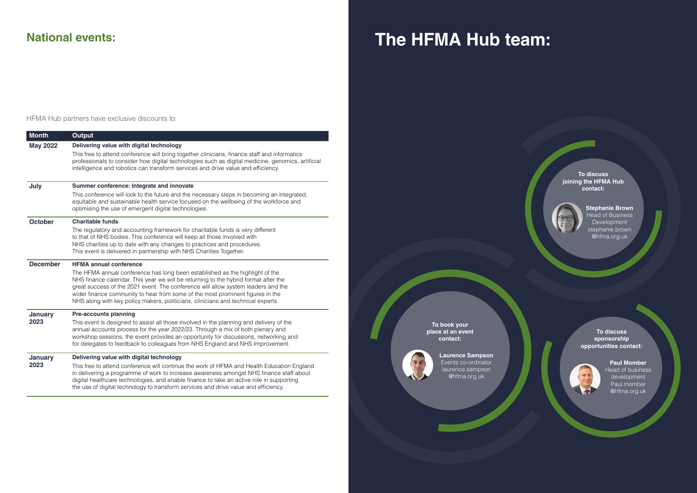| <b>Month</b>           | <b>Output</b>                                                                                                                                                                                                                                                                                                                                                                                                                                                   |
|------------------------|-----------------------------------------------------------------------------------------------------------------------------------------------------------------------------------------------------------------------------------------------------------------------------------------------------------------------------------------------------------------------------------------------------------------------------------------------------------------|
| <b>May 2022</b>        | Delivering value with digital technology<br>This free to attend conference will bring together clinicians, finance staff and informatics<br>professionals to consider how digital technologies such as digital medicine, genomics, artificial<br>intelligence and robotics can transform services and drive value and efficiency.                                                                                                                               |
|                        |                                                                                                                                                                                                                                                                                                                                                                                                                                                                 |
| July                   | Summer conference: Integrate and innovate<br>This conference will look to the future and the necessary steps in becoming an integrated,<br>equitable and sustainable health service focused on the wellbeing of the workforce and<br>optimising the use of emergent digital technologies.                                                                                                                                                                       |
| <b>October</b>         | <b>Charitable funds</b><br>The regulatory and accounting framework for charitable funds is very different<br>to that of NHS bodies. This conference will keep all those involved with<br>NHS charities up to date with any changes to practices and procedures.<br>This event is delivered in partnership with NHS Charities Together.                                                                                                                          |
| <b>December</b>        | <b>HFMA annual conference</b><br>The HFMA annual conference has long been established as the highlight of the<br>NHS finance calendar. This year we will be returning to the hybrid format after the<br>great success of the 2021 event. The conference will allow system leaders and the<br>wider finance community to hear from some of the most prominent figures in the<br>NHS along with key policy makers, politicians, clinicians and technical experts. |
| <b>January</b><br>2023 | <b>Pre-accounts planning</b><br>This event is designed to assist all those involved in the planning and delivery of the<br>annual accounts process for the year 2022/23. Through a mix of both plenary and<br>workshop sessions, the event provides an opportunity for discussions, networking and<br>for delegates to feedback to colleagues from NHS England and NHS Improvement.                                                                             |
| January<br>2023        | Delivering value with digital technology<br>This free to attend conference will continue the work of HFMA and Health Education England<br>in delivering a programme of work to increase awareness amongst NHS finance staff about<br>digital healthcare technologies, and enable finance to take an active role in supporting<br>the use of digital technology to transform services and drive value and efficiency.                                            |

HFMA Hub partners have exclusive discounts to:

## **National events: The HFMA Hub team:**

**To discuss joining the HFMA Hub contact:** 



**To discuss sponsorship opportunities contact:**



**To book your place at an event contact:** 



**Paul Momber** Head of business development Paul.momber @hfma.org.uk

**Stephanie Brown**  Head of Business Development stephanie.brown @hfma.org.uk

**Laurence Sampson**  Events co-ordinator laurence.sampson @hfma.org.uk